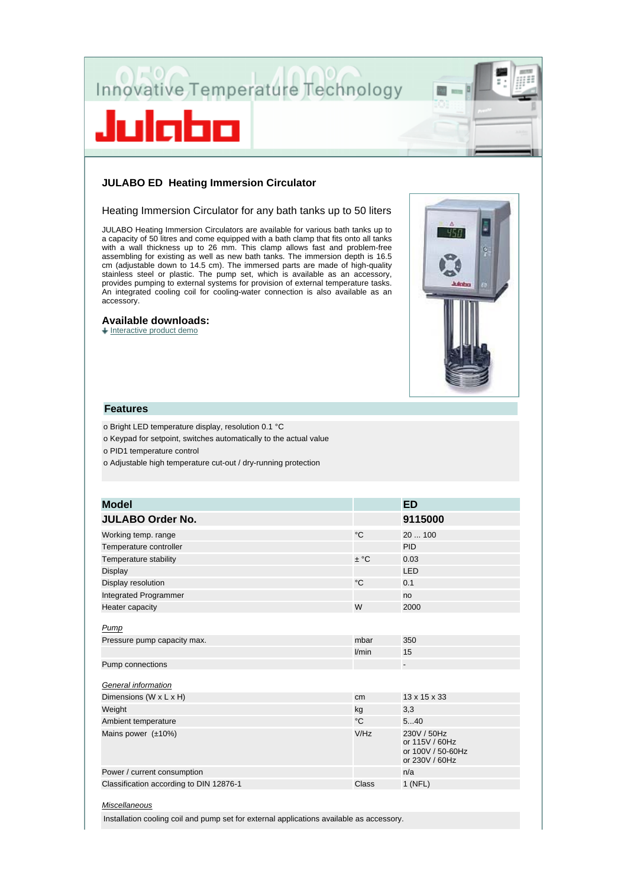



# **JULABO ED Heating Immersion Circulator**

#### Heating Immersion Circulator for any bath tanks up to 50 liters

JULABO Heating Immersion Circulators are available for various bath tanks up to a capacity of 50 litres and come equipped with a bath clamp that fits onto all tanks with a wall thickness up to 26 mm. This clamp allows fast and problem-free assembling for existing as well as new bath tanks. The immersion depth is 16.5 cm (adjustable down to 14.5 cm). The immersed parts are made of high-quality stainless steel or plastic. The pump set, which is available as an accessory, provides pumping to external systems for provision of external temperature tasks. An integrated cooling coil for cooling-water connection is also available as an accessory.

### **Available downloads:**

 $+$  Interactive product demo



## **Features**

o Bright LED temperature display, resolution 0.1 °C

o Keypad for setpoint, switches automatically to the actual value

o PID1 temperature control

o Adjustable high temperature cut-out / dry-running protection

| <b>Model</b>                            |             | <b>ED</b>                                                            |
|-----------------------------------------|-------------|----------------------------------------------------------------------|
| <b>JULABO Order No.</b>                 |             | 9115000                                                              |
| Working temp. range                     | °C          | 20  100                                                              |
| Temperature controller                  |             | <b>PID</b>                                                           |
| Temperature stability                   | $\pm$ °C    | 0.03                                                                 |
| Display                                 |             | LED                                                                  |
| Display resolution                      | $^{\circ}C$ | 0.1                                                                  |
| Integrated Programmer                   |             | no                                                                   |
| Heater capacity                         | W           | 2000                                                                 |
| Pump                                    |             |                                                                      |
| Pressure pump capacity max.             | mbar        | 350                                                                  |
|                                         | l/min       | 15                                                                   |
| Pump connections                        |             | $\overline{\phantom{0}}$                                             |
|                                         |             |                                                                      |
| General information                     |             |                                                                      |
| Dimensions (W x L x H)                  | cm          | 13 x 15 x 33                                                         |
| Weight                                  | kg          | 3,3                                                                  |
| Ambient temperature                     | °C          | 540                                                                  |
| Mains power $(\pm 10\%)$                | V/Hz        | 230V / 50Hz<br>or 115V / 60Hz<br>or 100V / 50-60Hz<br>or 230V / 60Hz |
| Power / current consumption             |             | n/a                                                                  |
| Classification according to DIN 12876-1 | Class       | $1$ (NFL)                                                            |
|                                         |             |                                                                      |

#### *Miscellaneous*

Installation cooling coil and pump set for external applications available as accessory.